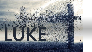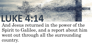## **LUKE 4:14**

And Jesus returned in the power of the Spirit to Galilee, and a report about him went out through all the surrounding country.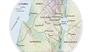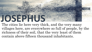

The cities lie here very thick, and the very many villages here, are everywhere so full of people, by the richness of their soil, that the very least of them contain above fifteen thousand inhabitants.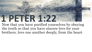

Now that you have purified yourselves by obeying the truth so that you have sincere love for your brothers, love one another deeply, from the heart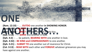

**ANOTHERS… (Rom. 12:10)** -- … **OUTDO** one another **in SHOWING HONOR**. **(Rom. 15:7)** -- **ACCEPT** one another… **(Rom. 16:16)** -- **GREET** one another with a holy kiss… **(Gal. 5:13)** -- … **SERVE** one another in love. **(Eph. 4:2)** -- … be patient, **BEARING WITH** one another in love. **(Eph. 4:32)** – **BE KIND and COMPASSIONATE** to one another. **(Eph. 5:21)** -- **SUBMIT TO** one another out of reverence for Christ. **(Col. 3:13)** -- **BEAR WITH** each other and **FORGIVE** whatever grievances you may have against one another..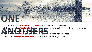

**(Heb. 3:13)** -- But **ENCOURAGE** one another daily, as long as it is called Today, so that none<br>of you may be hardened by sin's deceitfulness.<br>**(Heb. 10:24) -- SPUR** one another ON TOWARD love and good deeds.<br>(1 Pet. 4:9) **(Col. 3:16)** -- …**TEACH and ADMONISH** one another with all wisdom of you may be hardened by sin's deceitfulness. **(Heb. 10:24)** -- …**SPUR** one another **ON TOWARD** love and good deeds. **(1 Pet. 4:9)** – **OFFER HOSPITALITY** to one another without grumbling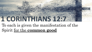# **1 CORINTHIANS 12:7**

#### To each is given the manifestation of the Spirit for the **common good**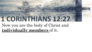# **1 CORINTHIANS 12:27**

#### Now you are the body of Christ and **individually members** of it.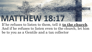# **MATTER AVEC 201**

If he refuses to listen to them, tell it **to the church**. And if he refuses to listen even to the church, let him be to you as a Gentile and a tax collector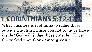# **1 CORINTHIANS 5:12-13**

What business is it of mine to judge those outside the church? Are you not to judge those inside? God will judge those outside. "Expel the wicked man **from among you**."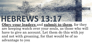### HEBREWS 132

**Obey your leaders** and **submit to them**, for they are keeping watch over your souls, as those who will have to give an account. Let them do this with joy and not with groaning, for that would be of no advantage to you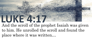### LUKE 4:17 And the scroll of the prophet Isaiah was given

to him. He unrolled the scroll and found the place where it was written…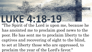"The Spirit of the Lord is upon me, because he has anointed me to proclaim good news to the poor. He has sent me to proclaim liberty to the captives and recovering of sight to the blind, to set at liberty those who are oppressed, to proclaim the year of the Lord's favor."

**LUKE 4:18-19**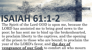### **ISAIAH 61:21**

The Spirit of the Lord GOD is upon me, because the LORD has anointed me to bring good news to the poor; he has sent me to bind up the brokenhearted, to proclaim liberty to the captives, and the opening of the prison to those who are bound; to proclaim the year of the LORD's favor, and **the day of vengeance of our God;** to comfort all who mourn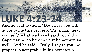### **LUKE 4:23-24**

And he said to them, "Doubtless you will quote to me this proverb, 'Physician, heal yourself.' What we have heard you did at Capernaum, do here in your hometown as well." And he said, "Truly, I say to you, no prophet is acceptable in his hometown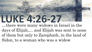…there were many widows in Israel in the days of Elijah,… and Elijah was sent to none of them but only to Zarephath, in the land of Sidon, to a woman who was a widow

LUKE 4926-2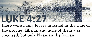#### **LUKE 4:27** there were many lepers in Israel in the time of the prophet Elisha, and none of them was cleansed, but only Naaman the Syrian.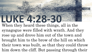### **LUKE 4:28-30**

When they heard these things, all in the synagogue were filled with wrath. And they rose up and drove him out of the town and brought him to the brow of the hill on which their town was built, so that they could throw him down the cliff. But passing through their